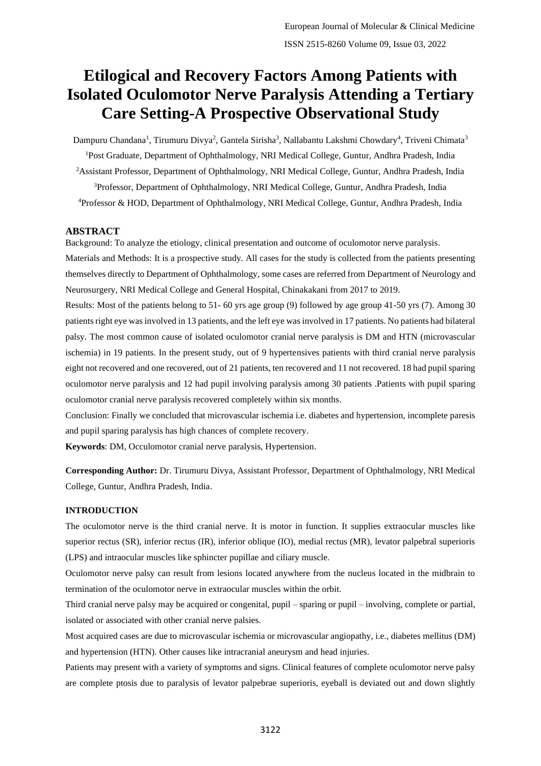# **Etilogical and Recovery Factors Among Patients with Isolated Oculomotor Nerve Paralysis Attending a Tertiary Care Setting-A Prospective Observational Study**

Dampuru Chandana<sup>1</sup>, Tirumuru Divya<sup>2</sup>, Gantela Sirisha<sup>3</sup>, Nallabantu Lakshmi Chowdary<sup>4</sup>, Triveni Chimata<sup>3</sup> <sup>1</sup>Post Graduate, Department of Ophthalmology, NRI Medical College, Guntur, Andhra Pradesh, India <sup>2</sup>Assistant Professor, Department of Ophthalmology, NRI Medical College, Guntur, Andhra Pradesh, India <sup>3</sup>Professor, Department of Ophthalmology, NRI Medical College, Guntur, Andhra Pradesh, India <sup>4</sup>Professor & HOD, Department of Ophthalmology, NRI Medical College, Guntur, Andhra Pradesh, India

#### **ABSTRACT**

Background: To analyze the etiology, clinical presentation and outcome of oculomotor nerve paralysis.

Materials and Methods: It is a prospective study. All cases for the study is collected from the patients presenting themselves directly to Department of Ophthalmology, some cases are referred from Department of Neurology and Neurosurgery, NRI Medical College and General Hospital, Chinakakani from 2017 to 2019.

Results: Most of the patients belong to 51- 60 yrs age group (9) followed by age group 41-50 yrs (7). Among 30 patients right eye was involved in 13 patients, and the left eye was involved in 17 patients. No patients had bilateral palsy. The most common cause of isolated oculomotor cranial nerve paralysis is DM and HTN (microvascular ischemia) in 19 patients. In the present study, out of 9 hypertensives patients with third cranial nerve paralysis eight not recovered and one recovered, out of 21 patients, ten recovered and 11 not recovered. 18 had pupil sparing oculomotor nerve paralysis and 12 had pupil involving paralysis among 30 patients .Patients with pupil sparing oculomotor cranial nerve paralysis recovered completely within six months.

Conclusion: Finally we concluded that microvascular ischemia i.e. diabetes and hypertension, incomplete paresis and pupil sparing paralysis has high chances of complete recovery.

**Keywords**: DM, Occulomotor cranial nerve paralysis, Hypertension.

**Corresponding Author:** Dr. Tirumuru Divya, Assistant Professor, Department of Ophthalmology, NRI Medical College, Guntur, Andhra Pradesh, India.

#### **INTRODUCTION**

The oculomotor nerve is the third cranial nerve. It is motor in function. It supplies extraocular muscles like superior rectus (SR), inferior rectus (IR), inferior oblique (IO), medial rectus (MR), levator palpebral superioris (LPS) and intraocular muscles like sphincter pupillae and ciliary muscle.

Oculomotor nerve palsy can result from lesions located anywhere from the nucleus located in the midbrain to termination of the oculomotor nerve in extraocular muscles within the orbit.

Third cranial nerve palsy may be acquired or congenital, pupil – sparing or pupil – involving, complete or partial, isolated or associated with other cranial nerve palsies.

Most acquired cases are due to microvascular ischemia or microvascular angiopathy, i.e., diabetes mellitus (DM) and hypertension (HTN). Other causes like intracranial aneurysm and head injuries.

Patients may present with a variety of symptoms and signs. Clinical features of complete oculomotor nerve palsy are complete ptosis due to paralysis of levator palpebrae superioris, eyeball is deviated out and down slightly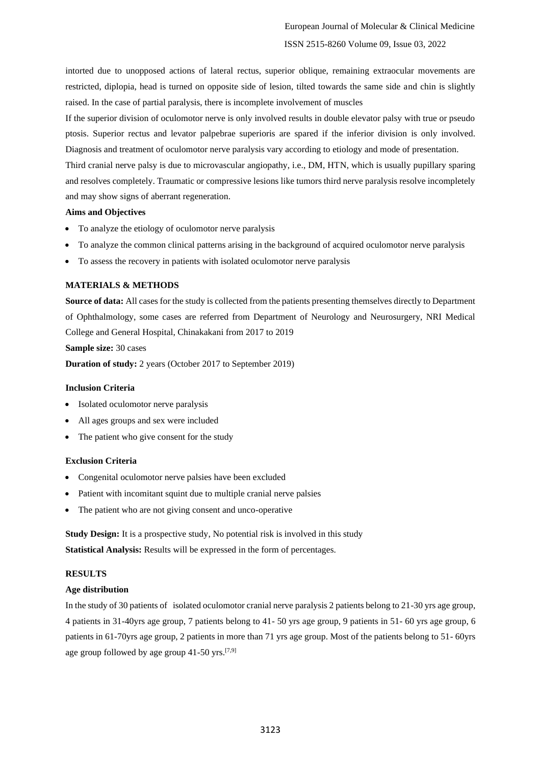intorted due to unopposed actions of lateral rectus, superior oblique, remaining extraocular movements are restricted, diplopia, head is turned on opposite side of lesion, tilted towards the same side and chin is slightly raised. In the case of partial paralysis, there is incomplete involvement of muscles

If the superior division of oculomotor nerve is only involved results in double elevator palsy with true or pseudo ptosis. Superior rectus and levator palpebrae superioris are spared if the inferior division is only involved. Diagnosis and treatment of oculomotor nerve paralysis vary according to etiology and mode of presentation.

Third cranial nerve palsy is due to microvascular angiopathy, i.e., DM, HTN, which is usually pupillary sparing and resolves completely. Traumatic or compressive lesions like tumors third nerve paralysis resolve incompletely and may show signs of aberrant regeneration.

#### **Aims and Objectives**

- To analyze the etiology of oculomotor nerve paralysis
- To analyze the common clinical patterns arising in the background of acquired oculomotor nerve paralysis
- To assess the recovery in patients with isolated oculomotor nerve paralysis

#### **MATERIALS & METHODS**

**Source of data:** All cases for the study is collected from the patients presenting themselves directly to Department of Ophthalmology, some cases are referred from Department of Neurology and Neurosurgery, NRI Medical College and General Hospital, Chinakakani from 2017 to 2019

#### **Sample size:** 30 cases

**Duration of study:** 2 years (October 2017 to September 2019)

#### **Inclusion Criteria**

- Isolated oculomotor nerve paralysis
- All ages groups and sex were included
- The patient who give consent for the study

#### **Exclusion Criteria**

- Congenital oculomotor nerve palsies have been excluded
- Patient with incomitant squint due to multiple cranial nerve palsies
- The patient who are not giving consent and unco-operative

**Study Design:** It is a prospective study, No potential risk is involved in this study **Statistical Analysis:** Results will be expressed in the form of percentages.

#### **RESULTS**

#### **Age distribution**

In the study of 30 patients of isolated oculomotor cranial nerve paralysis 2 patients belong to 21-30 yrs age group, 4 patients in 31-40yrs age group, 7 patients belong to 41- 50 yrs age group, 9 patients in 51- 60 yrs age group, 6 patients in 61-70yrs age group, 2 patients in more than 71 yrs age group. Most of the patients belong to 51- 60yrs age group followed by age group  $41-50$  yrs.<sup>[7,9]</sup>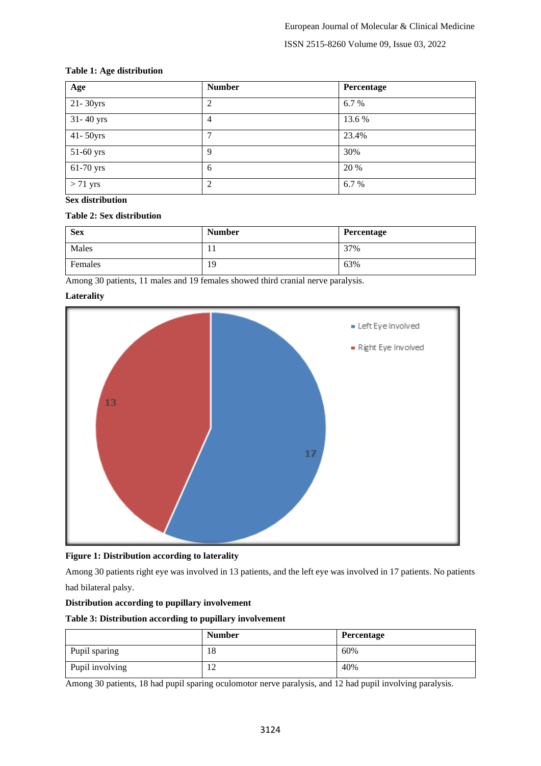# **Table 1: Age distribution**

| Age           | <b>Number</b>  | Percentage |
|---------------|----------------|------------|
| 21-30yrs      | 2              | 6.7 %      |
| 31-40 yrs     | 4              | 13.6 %     |
| $41 - 50$ yrs | 7              | 23.4%      |
| 51-60 yrs     | 9              | 30%        |
| 61-70 yrs     | 6              | 20 %       |
| $> 71$ yrs    | $\overline{2}$ | 6.7%       |

# **Sex distribution**

#### **Table 2: Sex distribution**

| <b>Sex</b> | <b>Number</b> | Percentage |
|------------|---------------|------------|
| Males      | 1 T           | 37%        |
| Females    | 19            | 63%        |

Among 30 patients, 11 males and 19 females showed third cranial nerve paralysis.

# **Laterality**





Among 30 patients right eye was involved in 13 patients, and the left eye was involved in 17 patients. No patients had bilateral palsy.

# **Distribution according to pupillary involvement**

#### **Table 3: Distribution according to pupillary involvement**

|                 | <b>Number</b> | Percentage |
|-----------------|---------------|------------|
| Pupil sparing   | 18            | 60%        |
| Pupil involving | ┸             | 40%        |

Among 30 patients, 18 had pupil sparing oculomotor nerve paralysis, and 12 had pupil involving paralysis.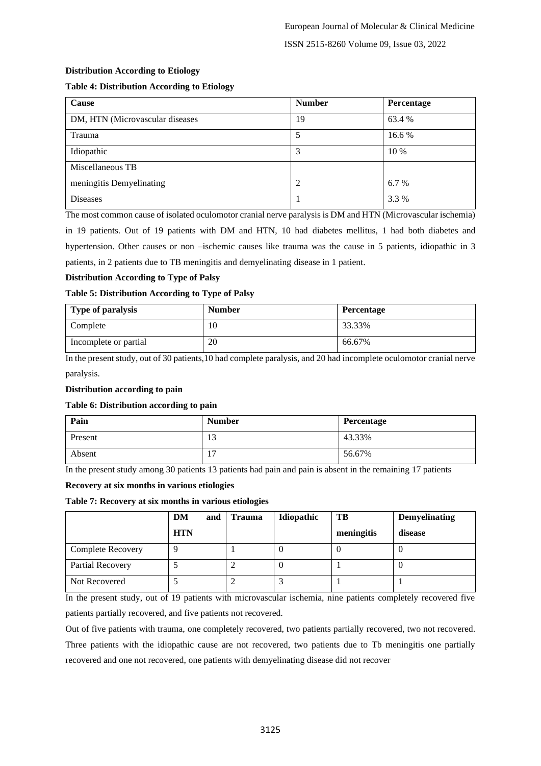ISSN 2515-8260 Volume 09, Issue 03, 2022

# **Distribution According to Etiology**

# **Table 4: Distribution According to Etiology**

| Cause                           | <b>Number</b> | Percentage |
|---------------------------------|---------------|------------|
| DM, HTN (Microvascular diseases | 19            | 63.4 %     |
| Trauma                          | 5             | 16.6 %     |
| Idiopathic                      | 3             | 10 %       |
| Miscellaneous TB                |               |            |
| meningitis Demyelinating        | 2             | 6.7 %      |
| Diseases                        |               | 3.3 %      |

The most common cause of isolated oculomotor cranial nerve paralysis is DM and HTN (Microvascular ischemia) in 19 patients. Out of 19 patients with DM and HTN, 10 had diabetes mellitus, 1 had both diabetes and hypertension. Other causes or non –ischemic causes like trauma was the cause in 5 patients, idiopathic in 3 patients, in 2 patients due to TB meningitis and demyelinating disease in 1 patient.

# **Distribution According to Type of Palsy**

#### **Table 5: Distribution According to Type of Palsy**

| Type of paralysis     | <b>Number</b> | <b>Percentage</b> |
|-----------------------|---------------|-------------------|
| Complete              | 10            | 33.33%            |
| Incomplete or partial | 20            | 66.67%            |

In the present study, out of 30 patients,10 had complete paralysis, and 20 had incomplete oculomotor cranial nerve paralysis.

#### **Distribution according to pain**

#### **Table 6: Distribution according to pain**

| Pain    | <b>Number</b> | Percentage |
|---------|---------------|------------|
| Present | 13            | 43.33%     |
| Absent  | -<br>ı.       | 56.67%     |

In the present study among 30 patients 13 patients had pain and pain is absent in the remaining 17 patients

#### **Recovery at six months in various etiologies**

#### **Table 7: Recovery at six months in various etiologies**

|                          | DM<br>and  | Trauma | Idiopathic | TB         | <b>Demyelinating</b> |
|--------------------------|------------|--------|------------|------------|----------------------|
|                          | <b>HTN</b> |        |            | meningitis | disease              |
| <b>Complete Recovery</b> |            |        |            |            |                      |
| Partial Recovery         |            |        | v          |            |                      |
| Not Recovered            |            |        |            |            |                      |

In the present study, out of 19 patients with microvascular ischemia, nine patients completely recovered five patients partially recovered, and five patients not recovered.

Out of five patients with trauma, one completely recovered, two patients partially recovered, two not recovered. Three patients with the idiopathic cause are not recovered, two patients due to Tb meningitis one partially recovered and one not recovered, one patients with demyelinating disease did not recover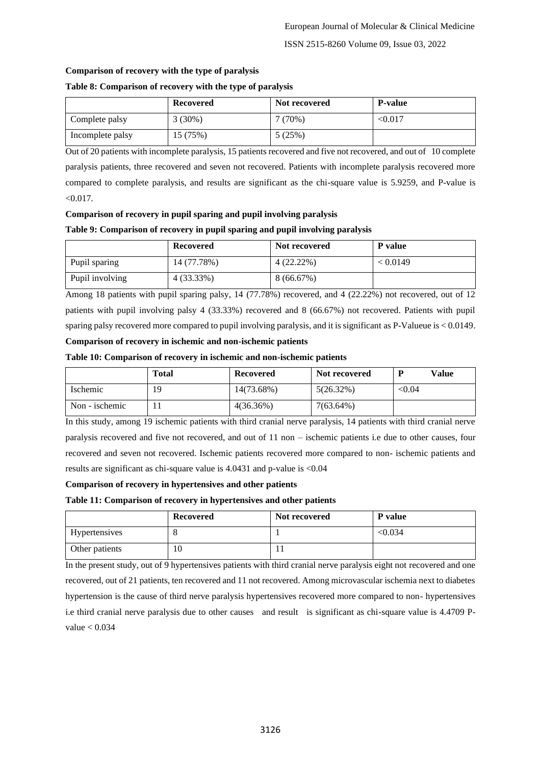#### **Comparison of recovery with the type of paralysis**

#### **Table 8: Comparison of recovery with the type of paralysis**

|                  | Recovered | Not recovered | <b>P-value</b> |
|------------------|-----------|---------------|----------------|
| Complete palsy   | $3(30\%)$ | $(70\%)$      | < 0.017        |
| Incomplete palsy | 15 (75%)  | 5 (25%)       |                |

Out of 20 patients with incomplete paralysis, 15 patients recovered and five not recovered, and out of 10 complete paralysis patients, three recovered and seven not recovered. Patients with incomplete paralysis recovered more compared to complete paralysis, and results are significant as the chi-square value is 5.9259, and P-value is  $< 0.017$ .

#### **Comparison of recovery in pupil sparing and pupil involving paralysis**

#### **Table 9: Comparison of recovery in pupil sparing and pupil involving paralysis**

|                 | Recovered   | Not recovered | P value  |
|-----------------|-------------|---------------|----------|
| Pupil sparing   | 14 (77.78%) | $4(22.22\%)$  | < 0.0149 |
| Pupil involving | 4 (33.33%)  | 8(66.67%)     |          |

Among 18 patients with pupil sparing palsy, 14 (77.78%) recovered, and 4 (22.22%) not recovered, out of 12 patients with pupil involving palsy 4 (33.33%) recovered and 8 (66.67%) not recovered. Patients with pupil sparing palsy recovered more compared to pupil involving paralysis, and it is significant as P-Valueue is < 0.0149. **Comparison of recovery in ischemic and non-ischemic patients**

#### **Table 10: Comparison of recovery in ischemic and non-ischemic patients**

|                | <b>Total</b> | Recovered    | Not recovered | Value  |
|----------------|--------------|--------------|---------------|--------|
| Ischemic       | 19           | 14(73.68%)   | $5(26.32\%)$  | < 0.04 |
| Non - ischemic |              | $4(36.36\%)$ | $7(63.64\%)$  |        |

In this study, among 19 ischemic patients with third cranial nerve paralysis, 14 patients with third cranial nerve paralysis recovered and five not recovered, and out of 11 non – ischemic patients i.e due to other causes, four recovered and seven not recovered. Ischemic patients recovered more compared to non- ischemic patients and results are significant as chi-square value is 4.0431 and p-value is <0.04

#### **Comparison of recovery in hypertensives and other patients**

#### **Table 11: Comparison of recovery in hypertensives and other patients**

|                | Recovered | Not recovered | P value |
|----------------|-----------|---------------|---------|
| Hypertensives  | $\circ$   |               | < 0.034 |
| Other patients | 10        |               |         |

In the present study, out of 9 hypertensives patients with third cranial nerve paralysis eight not recovered and one recovered, out of 21 patients, ten recovered and 11 not recovered. Among microvascular ischemia next to diabetes hypertension is the cause of third nerve paralysis hypertensives recovered more compared to non- hypertensives i.e third cranial nerve paralysis due to other causes and result is significant as chi-square value is 4.4709 Pvalue  $< 0.034$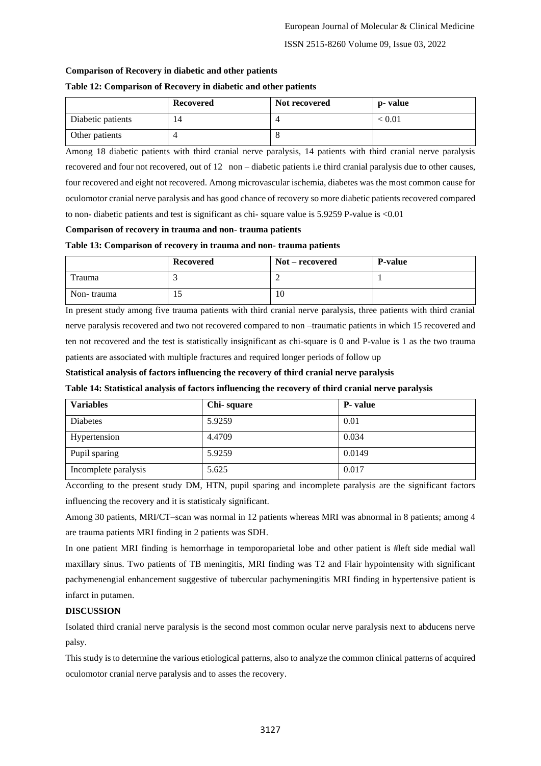#### **Comparison of Recovery in diabetic and other patients**

#### **Table 12: Comparison of Recovery in diabetic and other patients**

|                   | Recovered | Not recovered | p- value                    |
|-------------------|-----------|---------------|-----------------------------|
| Diabetic patients | 14        |               | $\stackrel{<}{_{\sim}}0.01$ |
| Other patients    |           |               |                             |

Among 18 diabetic patients with third cranial nerve paralysis, 14 patients with third cranial nerve paralysis recovered and four not recovered, out of 12 non – diabetic patients i.e third cranial paralysis due to other causes, four recovered and eight not recovered. Among microvascular ischemia, diabetes was the most common cause for oculomotor cranial nerve paralysis and has good chance of recovery so more diabetic patients recovered compared to non- diabetic patients and test is significant as chi- square value is 5.9259 P-value is <0.01

#### **Comparison of recovery in trauma and non- trauma patients**

#### **Table 13: Comparison of recovery in trauma and non- trauma patients**

|            | Recovered | Not – recovered | <b>P-value</b> |
|------------|-----------|-----------------|----------------|
| Trauma     |           |                 |                |
| Non-trauma | IJ        | $10^{-1}$       |                |

In present study among five trauma patients with third cranial nerve paralysis, three patients with third cranial nerve paralysis recovered and two not recovered compared to non –traumatic patients in which 15 recovered and ten not recovered and the test is statistically insignificant as chi-square is 0 and P-value is 1 as the two trauma patients are associated with multiple fractures and required longer periods of follow up

**Statistical analysis of factors influencing the recovery of third cranial nerve paralysis**

#### **Table 14: Statistical analysis of factors influencing the recovery of third cranial nerve paralysis**

| <b>Variables</b>     | Chi-square | <b>P</b> -value |
|----------------------|------------|-----------------|
| <b>Diabetes</b>      | 5.9259     | 0.01            |
| Hypertension         | 4.4709     | 0.034           |
| Pupil sparing        | 5.9259     | 0.0149          |
| Incomplete paralysis | 5.625      | 0.017           |

According to the present study DM, HTN, pupil sparing and incomplete paralysis are the significant factors influencing the recovery and it is statisticaly significant.

Among 30 patients, MRI/CT–scan was normal in 12 patients whereas MRI was abnormal in 8 patients; among 4 are trauma patients MRI finding in 2 patients was SDH.

In one patient MRI finding is hemorrhage in temporoparietal lobe and other patient is #left side medial wall maxillary sinus. Two patients of TB meningitis, MRI finding was T2 and Flair hypointensity with significant pachymenengial enhancement suggestive of tubercular pachymeningitis MRI finding in hypertensive patient is infarct in putamen.

#### **DISCUSSION**

Isolated third cranial nerve paralysis is the second most common ocular nerve paralysis next to abducens nerve palsy.

This study is to determine the various etiological patterns, also to analyze the common clinical patterns of acquired oculomotor cranial nerve paralysis and to asses the recovery.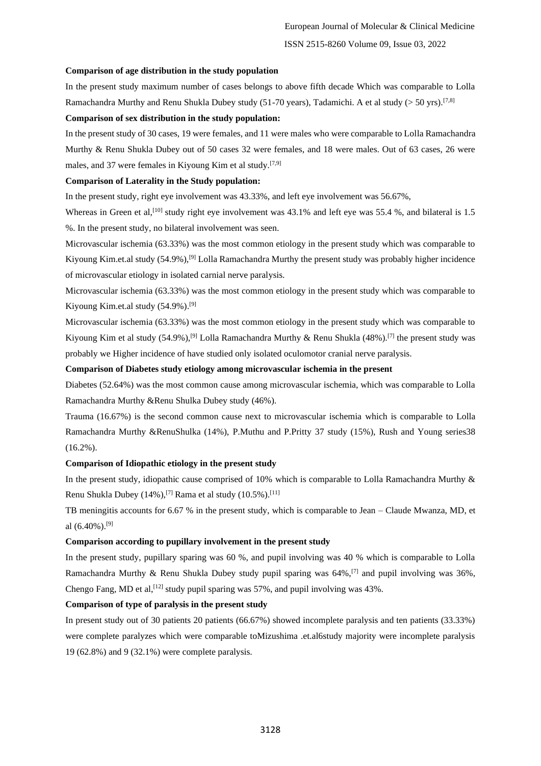#### **Comparison of age distribution in the study population**

In the present study maximum number of cases belongs to above fifth decade Which was comparable to Lolla Ramachandra Murthy and Renu Shukla Dubey study (51-70 years), Tadamichi. A et al study ( $>$  50 yrs).<sup>[7,8]</sup>

#### **Comparison of sex distribution in the study population:**

In the present study of 30 cases, 19 were females, and 11 were males who were comparable to Lolla Ramachandra Murthy & Renu Shukla Dubey out of 50 cases 32 were females, and 18 were males. Out of 63 cases, 26 were males, and 37 were females in Kiyoung Kim et al study.<sup>[7,9]</sup>

#### **Comparison of Laterality in the Study population:**

In the present study, right eye involvement was 43.33%, and left eye involvement was 56.67%,

Whereas in Green et al,<sup>[10]</sup> study right eye involvement was  $43.1\%$  and left eye was  $55.4\%$ , and bilateral is 1.5 %. In the present study, no bilateral involvement was seen.

Microvascular ischemia (63.33%) was the most common etiology in the present study which was comparable to Kiyoung Kim.et.al study (54.9%),[9] Lolla Ramachandra Murthy the present study was probably higher incidence of microvascular etiology in isolated carnial nerve paralysis.

Microvascular ischemia (63.33%) was the most common etiology in the present study which was comparable to Kiyoung Kim.et.al study (54.9%). [9]

Microvascular ischemia (63.33%) was the most common etiology in the present study which was comparable to Kiyoung Kim et al study (54.9%),<sup>[9]</sup> Lolla Ramachandra Murthy & Renu Shukla (48%).<sup>[7]</sup> the present study was probably we Higher incidence of have studied only isolated oculomotor cranial nerve paralysis.

#### **Comparison of Diabetes study etiology among microvascular ischemia in the present**

Diabetes (52.64%) was the most common cause among microvascular ischemia, which was comparable to Lolla Ramachandra Murthy &Renu Shulka Dubey study (46%).

Trauma (16.67%) is the second common cause next to microvascular ischemia which is comparable to Lolla Ramachandra Murthy &RenuShulka (14%), P.Muthu and P.Pritty 37 study (15%), Rush and Young series38 (16.2%).

#### **Comparison of Idiopathic etiology in the present study**

In the present study, idiopathic cause comprised of 10% which is comparable to Lolla Ramachandra Murthy & Renu Shukla Dubey (14%),<sup>[7]</sup> Rama et al study (10.5%).<sup>[11]</sup>

TB meningitis accounts for 6.67 % in the present study, which is comparable to Jean – Claude Mwanza, MD, et al  $(6.40\%)$ .<sup>[9]</sup>

#### **Comparison according to pupillary involvement in the present study**

In the present study, pupillary sparing was 60 %, and pupil involving was 40 % which is comparable to Lolla Ramachandra Murthy & Renu Shukla Dubey study pupil sparing was  $64\%$ , <sup>[7]</sup> and pupil involving was  $36\%$ , Chengo Fang, MD et al,  $^{[12]}$  study pupil sparing was 57%, and pupil involving was 43%.

#### **Comparison of type of paralysis in the present study**

In present study out of 30 patients 20 patients (66.67%) showed incomplete paralysis and ten patients (33.33%) were complete paralyzes which were comparable toMizushima .et.al6study majority were incomplete paralysis 19 (62.8%) and 9 (32.1%) were complete paralysis.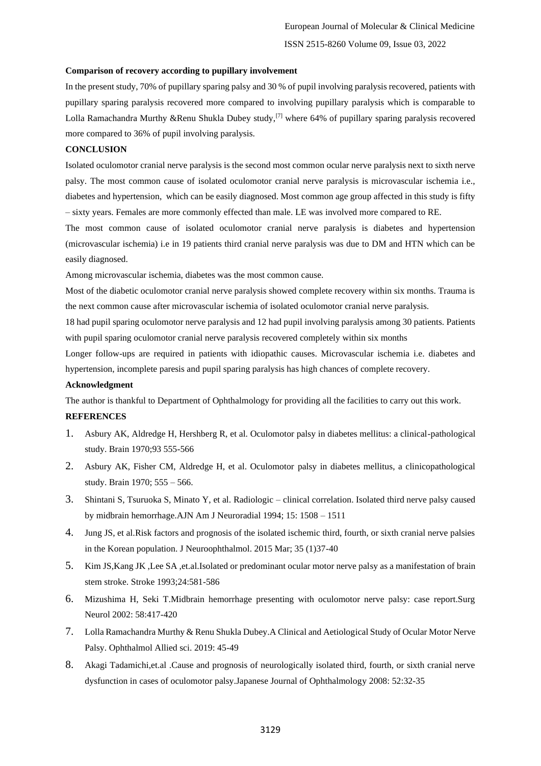#### **Comparison of recovery according to pupillary involvement**

In the present study, 70% of pupillary sparing palsy and 30 % of pupil involving paralysis recovered, patients with pupillary sparing paralysis recovered more compared to involving pupillary paralysis which is comparable to Lolla Ramachandra Murthy &Renu Shukla Dubey study,<sup>[7]</sup> where 64% of pupillary sparing paralysis recovered more compared to 36% of pupil involving paralysis.

#### **CONCLUSION**

Isolated oculomotor cranial nerve paralysis is the second most common ocular nerve paralysis next to sixth nerve palsy. The most common cause of isolated oculomotor cranial nerve paralysis is microvascular ischemia i.e., diabetes and hypertension, which can be easily diagnosed. Most common age group affected in this study is fifty – sixty years. Females are more commonly effected than male. LE was involved more compared to RE.

The most common cause of isolated oculomotor cranial nerve paralysis is diabetes and hypertension (microvascular ischemia) i.e in 19 patients third cranial nerve paralysis was due to DM and HTN which can be easily diagnosed.

Among microvascular ischemia, diabetes was the most common cause.

Most of the diabetic oculomotor cranial nerve paralysis showed complete recovery within six months. Trauma is the next common cause after microvascular ischemia of isolated oculomotor cranial nerve paralysis.

18 had pupil sparing oculomotor nerve paralysis and 12 had pupil involving paralysis among 30 patients. Patients with pupil sparing oculomotor cranial nerve paralysis recovered completely within six months

Longer follow-ups are required in patients with idiopathic causes. Microvascular ischemia i.e. diabetes and hypertension, incomplete paresis and pupil sparing paralysis has high chances of complete recovery.

#### **Acknowledgment**

The author is thankful to Department of Ophthalmology for providing all the facilities to carry out this work.

#### **REFERENCES**

- 1. Asbury AK, Aldredge H, Hershberg R, et al. Oculomotor palsy in diabetes mellitus: a clinical-pathological study. Brain 1970;93 555-566
- 2. Asbury AK, Fisher CM, Aldredge H, et al. Oculomotor palsy in diabetes mellitus, a clinicopathological study. Brain 1970; 555 – 566.
- 3. Shintani S, Tsuruoka S, Minato Y, et al. Radiologic clinical correlation. Isolated third nerve palsy caused by midbrain hemorrhage.AJN Am J Neuroradial 1994; 15: 1508 – 1511
- 4. Jung JS, et al.Risk factors and prognosis of the isolated ischemic third, fourth, or sixth cranial nerve palsies in the Korean population. J Neuroophthalmol. 2015 Mar; 35 (1)37-40
- 5. Kim JS,Kang JK ,Lee SA ,et.al.Isolated or predominant ocular motor nerve palsy as a manifestation of brain stem stroke. Stroke 1993;24:581-586
- 6. Mizushima H, Seki T.Midbrain hemorrhage presenting with oculomotor nerve palsy: case report.Surg Neurol 2002: 58:417-420
- 7. Lolla Ramachandra Murthy & Renu Shukla Dubey.A Clinical and Aetiological Study of Ocular Motor Nerve Palsy. Ophthalmol Allied sci. 2019: 45-49
- 8. Akagi Tadamichi,et.al .Cause and prognosis of neurologically isolated third, fourth, or sixth cranial nerve dysfunction in cases of oculomotor palsy.Japanese Journal of Ophthalmology 2008: 52:32-35